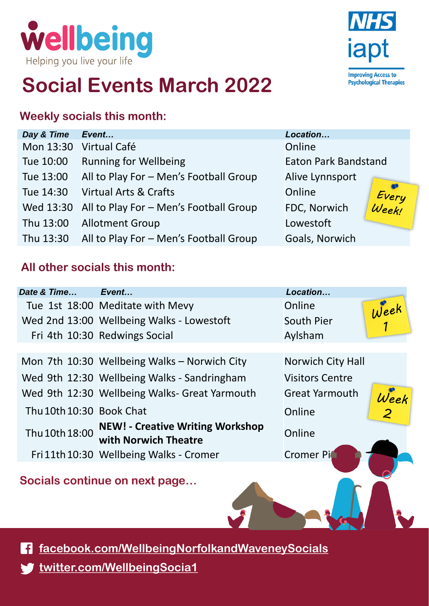

## **Social Events March 2022**

#### **Weekly socials this month:**

| Day & Time | Event                                            | Location                    |                |
|------------|--------------------------------------------------|-----------------------------|----------------|
|            | Mon 13:30 Virtual Café                           | Online                      |                |
| Tue 10:00  | <b>Running for Wellbeing</b>                     | <b>Eaton Park Bandstand</b> |                |
| Tue 13:00  | All to Play For - Men's Football Group           | Alive Lynnsport             |                |
| Tue 14:30  | <b>Virtual Arts &amp; Crafts</b>                 | Online                      |                |
|            | Wed 13:30 All to Play For - Men's Football Group | FDC, Norwich                | Every<br>Week! |
| Thu 13:00  | <b>Allotment Group</b>                           | Lowestoft                   |                |
| Thu 13:30  | All to Play For - Men's Football Group           | Goals, Norwich              |                |

### **All other socials this month:**

| Tue 1st 18:00 Meditate with Mevy<br>Online<br>Week<br>Wed 2nd 13:00 Wellbeing Walks - Lowestoft<br><b>South Pier</b><br>Fri 4th 10:30 Redwings Social<br>Aylsham<br>Mon 7th 10:30 Wellbeing Walks - Norwich City<br><b>Norwich City Hall</b><br>Wed 9th 12:30 Wellbeing Walks - Sandringham<br><b>Visitors Centre</b><br>Wed 9th 12:30 Wellbeing Walks- Great Yarmouth<br><b>Great Yarmouth</b><br>Week<br>Thu 10th 10:30 Book Chat<br>Online | Date & Time | Event                                   | Location |  |
|-----------------------------------------------------------------------------------------------------------------------------------------------------------------------------------------------------------------------------------------------------------------------------------------------------------------------------------------------------------------------------------------------------------------------------------------------|-------------|-----------------------------------------|----------|--|
|                                                                                                                                                                                                                                                                                                                                                                                                                                               |             |                                         |          |  |
|                                                                                                                                                                                                                                                                                                                                                                                                                                               |             |                                         |          |  |
|                                                                                                                                                                                                                                                                                                                                                                                                                                               |             |                                         |          |  |
|                                                                                                                                                                                                                                                                                                                                                                                                                                               |             |                                         |          |  |
|                                                                                                                                                                                                                                                                                                                                                                                                                                               |             |                                         |          |  |
|                                                                                                                                                                                                                                                                                                                                                                                                                                               |             |                                         |          |  |
|                                                                                                                                                                                                                                                                                                                                                                                                                                               |             |                                         |          |  |
|                                                                                                                                                                                                                                                                                                                                                                                                                                               |             |                                         |          |  |
| Thu 10th 18:00<br>Online<br>with Norwich Theatre                                                                                                                                                                                                                                                                                                                                                                                              |             | <b>NEW! - Creative Writing Workshop</b> |          |  |
| Fri 11th 10:30 Wellbeing Walks - Cromer<br><b>Cromer Pi</b>                                                                                                                                                                                                                                                                                                                                                                                   |             |                                         |          |  |

**Socials continue on next page…**